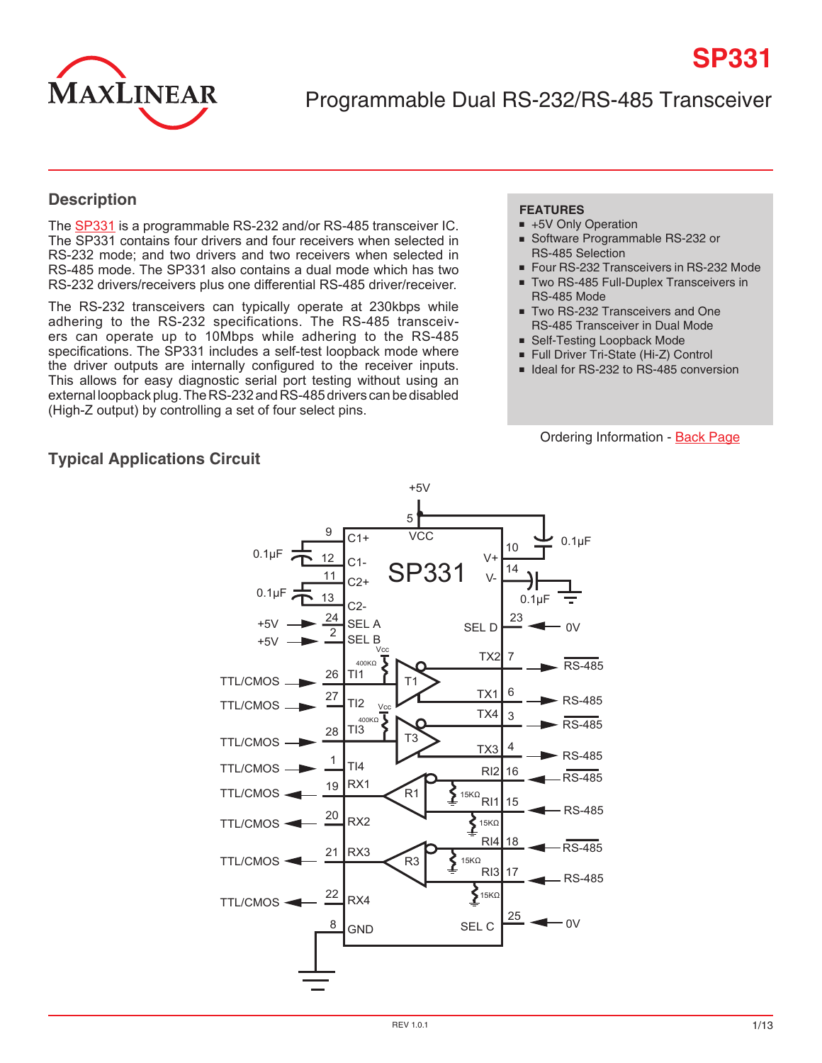

Programmable Dual RS-232/RS-485 Transceiver

## **Description**

The [SP331](http://www.exar.com/SP331) is a programmable RS-232 and/or RS-485 transceiver IC. The SP331 contains four drivers and four receivers when selected in RS-232 mode; and two drivers and two receivers when selected in RS-485 mode. The SP331 also contains a dual mode which has two RS-232 drivers/receivers plus one differential RS-485 driver/receiver.

The RS-232 transceivers can typically operate at 230kbps while adhering to the RS-232 specifications. The RS-485 transceivers can operate up to 10Mbps while adhering to the RS-485 specifications. The SP331 includes a self-test loopback mode where the driver outputs are internally configured to the receiver inputs. This allows for easy diagnostic serial port testing without using an external loopback plug. The RS-232 and RS-485 drivers can be disabled (High-Z output) by controlling a set of four select pins.

### **FEATURES**

- +5V Only Operation
- Software Programmable RS-232 or RS-485 Selection
- Four RS-232 Transceivers in RS-232 Mode

**SP331**

- Two RS-485 Full-Duplex Transceivers in
- RS-485 Mode Two RS-232 Transceivers and One RS-485 Transceiver in Dual Mode
- Self-Testing Loopback Mode
- Full Driver Tri-State (Hi-Z) Control
- Ideal for RS-232 to RS-485 conversion

#### Ordering Information - [Back Page](#page-12-0)



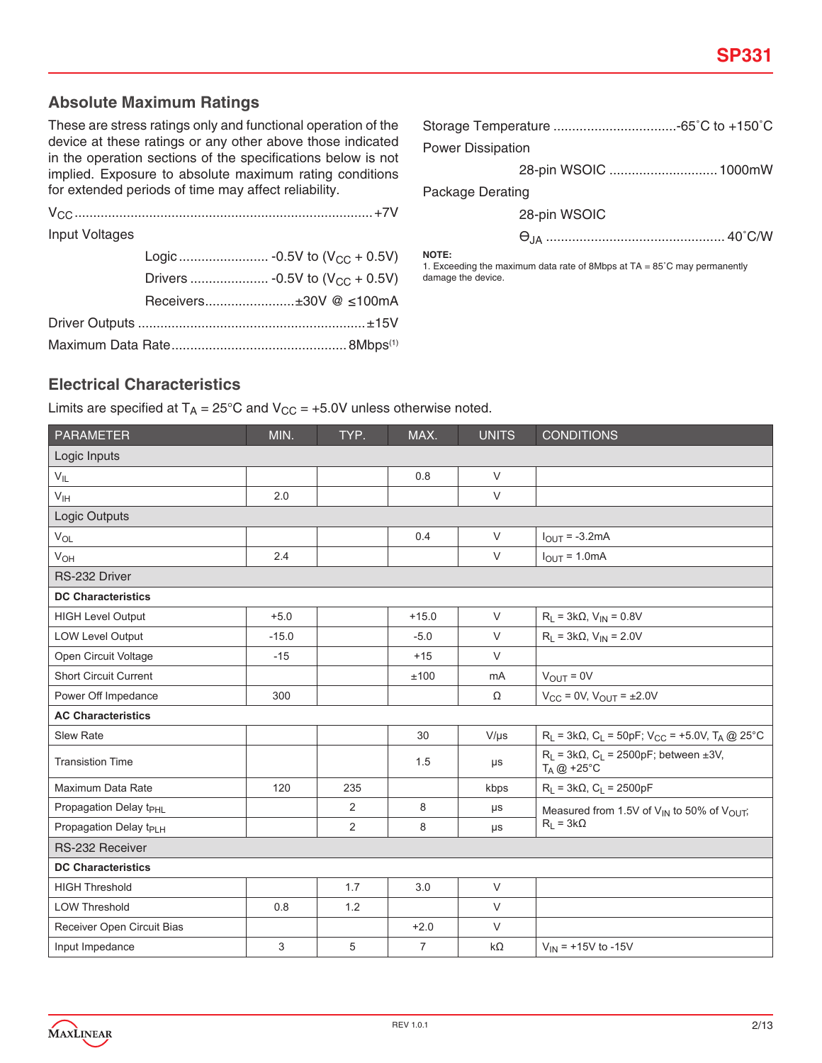## **Absolute Maximum Ratings**

These are stress ratings only and functional operation of the device at these ratings or any other above those indicated in the operation sections of the specifications below is not implied. Exposure to absolute maximum rating conditions for extended periods of time may affect reliability.

Maximum Data Rate............................................... 8Mbps(1)

| <b>Input Voltages</b> |                        |                   |
|-----------------------|------------------------|-------------------|
|                       |                        | <b>NO</b><br>1. E |
|                       |                        | dan               |
|                       | Receivers±30V @ ≤100mA |                   |
|                       |                        |                   |

| <b>Power Dissipation</b> |  |  |  |
|--------------------------|--|--|--|
| 28-pin WSOIC  1000mW     |  |  |  |
| Package Derating         |  |  |  |

28-pin WSOIC

ѲJA ................................................ 40˚C/W

**NOTE:**

Exceeding the maximum data rate of 8Mbps at TA = 85°C may permanently nage the device.

## **Electrical Characteristics**

Limits are specified at  $T_A = 25^{\circ}C$  and  $V_{CC} = +5.0V$  unless otherwise noted.

| <b>PARAMETER</b>                   | MIN.    | TYP. | MAX.           | <b>UNITS</b> | <b>CONDITIONS</b>                                                                  |
|------------------------------------|---------|------|----------------|--------------|------------------------------------------------------------------------------------|
| Logic Inputs                       |         |      |                |              |                                                                                    |
| $V_{IL}$                           |         |      | 0.8            | $\vee$       |                                                                                    |
| $V_{\text{IH}}$                    | 2.0     |      |                | $\vee$       |                                                                                    |
| Logic Outputs                      |         |      |                |              |                                                                                    |
| $V_{OL}$                           |         |      | 0.4            | $\vee$       | $IOUT = -3.2mA$                                                                    |
| <b>V<sub>OH</sub></b>              | 2.4     |      |                | $\vee$       | $I_{OUT} = 1.0mA$                                                                  |
| RS-232 Driver                      |         |      |                |              |                                                                                    |
| <b>DC Characteristics</b>          |         |      |                |              |                                                                                    |
| <b>HIGH Level Output</b>           | $+5.0$  |      | $+15.0$        | $\vee$       | $R_L = 3k\Omega$ , $V_{IN} = 0.8V$                                                 |
| <b>LOW Level Output</b>            | $-15.0$ |      | $-5.0$         | $\vee$       | $R_L = 3k\Omega$ , $V_{IN} = 2.0V$                                                 |
| Open Circuit Voltage               | $-15$   |      | $+15$          | $\vee$       |                                                                                    |
| <b>Short Circuit Current</b>       |         |      | ±100           | mA           | $V_{OUT} = 0V$                                                                     |
| Power Off Impedance                | 300     |      |                | Ω            | $V_{CC} = 0V$ , $V_{OUT} = \pm 2.0V$                                               |
| <b>AC Characteristics</b>          |         |      |                |              |                                                                                    |
| <b>Slew Rate</b>                   |         |      | 30             | $V/\mu s$    | $R_L$ = 3kΩ, C <sub>L</sub> = 50pF; V <sub>CC</sub> = +5.0V, T <sub>A</sub> @ 25°C |
| <b>Transistion Time</b>            |         |      | 1.5            | $\mu s$      | $R_L$ = 3k $\Omega$ , $C_L$ = 2500pF; between ±3V,<br>$T_A @ +25^\circ C$          |
| Maximum Data Rate                  | 120     | 235  |                | kbps         | $R_L = 3k\Omega$ , $C_L = 2500pF$                                                  |
| Propagation Delay t <sub>PHL</sub> |         | 2    | 8              | $\mu s$      | Measured from 1.5V of V <sub>IN</sub> to 50% of V <sub>OUT</sub> ;                 |
| Propagation Delay t <sub>PLH</sub> |         | 2    | 8              | μs           | $R_L = 3k\Omega$                                                                   |
| RS-232 Receiver                    |         |      |                |              |                                                                                    |
| <b>DC Characteristics</b>          |         |      |                |              |                                                                                    |
| <b>HIGH Threshold</b>              |         | 1.7  | 3.0            | $\vee$       |                                                                                    |
| <b>LOW Threshold</b>               | 0.8     | 1.2  |                | $\vee$       |                                                                                    |
| Receiver Open Circuit Bias         |         |      | $+2.0$         | $\vee$       |                                                                                    |
| Input Impedance                    | 3       | 5    | $\overline{7}$ | $k\Omega$    | $V_{IN}$ = +15V to -15V                                                            |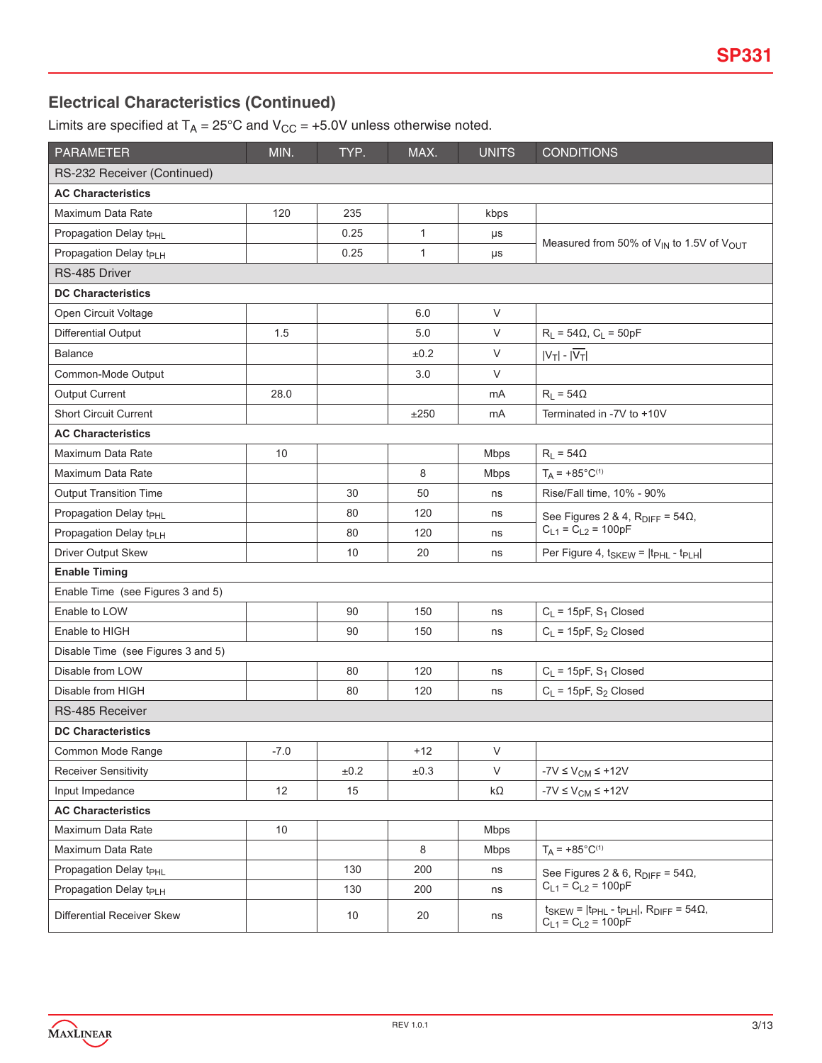# **Electrical Characteristics (Continued)**

Limits are specified at  $T_A = 25^{\circ}$ C and  $V_{CC} = +5.0V$  unless otherwise noted.

| <b>PARAMETER</b>                   | MIN.   | TYP.      | MAX.         | <b>UNITS</b> | <b>CONDITIONS</b>                                                                              |
|------------------------------------|--------|-----------|--------------|--------------|------------------------------------------------------------------------------------------------|
| RS-232 Receiver (Continued)        |        |           |              |              |                                                                                                |
| <b>AC Characteristics</b>          |        |           |              |              |                                                                                                |
| Maximum Data Rate                  | 120    | 235       |              | kbps         |                                                                                                |
| Propagation Delay t <sub>PHL</sub> |        | 0.25      | $\mathbf{1}$ | μs           |                                                                                                |
| Propagation Delay t <sub>PLH</sub> |        | 0.25      | $\mathbf{1}$ | $\mu s$      | Measured from 50% of $V_{IN}$ to 1.5V of $V_{OUT}$                                             |
| RS-485 Driver                      |        |           |              |              |                                                                                                |
| <b>DC Characteristics</b>          |        |           |              |              |                                                                                                |
| Open Circuit Voltage               |        |           | 6.0          | $\vee$       |                                                                                                |
| Differential Output                | 1.5    |           | 5.0          | V            | $R_L = 54\Omega$ , $C_L = 50pF$                                                                |
| Balance                            |        |           | ±0.2         | V            | $ V_T $ - $ \overline{V_T} $                                                                   |
| Common-Mode Output                 |        |           | 3.0          | V            |                                                                                                |
| <b>Output Current</b>              | 28.0   |           |              | mA           | $R_L = 54\Omega$                                                                               |
| <b>Short Circuit Current</b>       |        |           | ±250         | mA           | Terminated in -7V to +10V                                                                      |
| <b>AC Characteristics</b>          |        |           |              |              |                                                                                                |
| Maximum Data Rate                  | 10     |           |              | <b>Mbps</b>  | $R_L = 54\Omega$                                                                               |
| Maximum Data Rate                  |        |           | 8            | <b>Mbps</b>  | $T_A$ = +85°C <sup>(1)</sup>                                                                   |
| <b>Output Transition Time</b>      |        | 30        | 50           | ns           | Rise/Fall time, 10% - 90%                                                                      |
| Propagation Delay t <sub>PHL</sub> |        | 80        | 120          | ns           | See Figures 2 & 4, $R_{\text{DIFF}} = 54\Omega$ ,                                              |
| Propagation Delay t <sub>PLH</sub> |        | 80        | 120          | ns           | $C_{L1} = \overline{C}_{L2} = 100pF$                                                           |
| Driver Output Skew                 |        | 10        | 20           | ns           | Per Figure 4, t <sub>SKEW</sub> =  t <sub>PHL</sub> - t <sub>PLH</sub>                         |
| <b>Enable Timing</b>               |        |           |              |              |                                                                                                |
| Enable Time (see Figures 3 and 5)  |        |           |              |              |                                                                                                |
| Enable to LOW                      |        | 90        | 150          | ns           | $C_L$ = 15pF, S <sub>1</sub> Closed                                                            |
| Enable to HIGH                     |        | 90        | 150          | ns           | $C_L$ = 15pF, S <sub>2</sub> Closed                                                            |
| Disable Time (see Figures 3 and 5) |        |           |              |              |                                                                                                |
| Disable from LOW                   |        | 80        | 120          | ns           | $C_L$ = 15pF, S <sub>1</sub> Closed                                                            |
| Disable from HIGH                  |        | 80        | 120          | ns           | $C_L$ = 15pF, S <sub>2</sub> Closed                                                            |
| RS-485 Receiver                    |        |           |              |              |                                                                                                |
| <b>DC Characteristics</b>          |        |           |              |              |                                                                                                |
| Common Mode Range                  | $-7.0$ |           | $+12$        | V            |                                                                                                |
| <b>Receiver Sensitivity</b>        |        | $\pm 0.2$ | $\pm 0.3$    | V            | $-7V \leq V_{CM} \leq +12V$                                                                    |
| Input Impedance                    | 12     | 15        |              | kΩ           | $-7V \leq V_{CM} \leq +12V$                                                                    |
| <b>AC Characteristics</b>          |        |           |              |              |                                                                                                |
| Maximum Data Rate                  | 10     |           |              | <b>Mbps</b>  |                                                                                                |
| Maximum Data Rate                  |        |           | 8            | <b>Mbps</b>  | $T_A$ = +85°C <sup>(1)</sup>                                                                   |
| Propagation Delay t <sub>PHL</sub> |        | 130       | 200          | ns           | See Figures 2 & 6, $R_{\text{DIFF}} = 54\Omega$ ,                                              |
| Propagation Delay t <sub>PLH</sub> |        | 130       | 200          | ns           | $C_{L1} = C_{L2} = 100pF$                                                                      |
| Differential Receiver Skew         |        | 10        | 20           | ns           | $t_{SKEW}$ = $ t_{PHL}$ - $t_{PLH} $ , $R_{DIFF}$ = 54 $\Omega$ ,<br>$C_{L1} = C_{L2} = 100pF$ |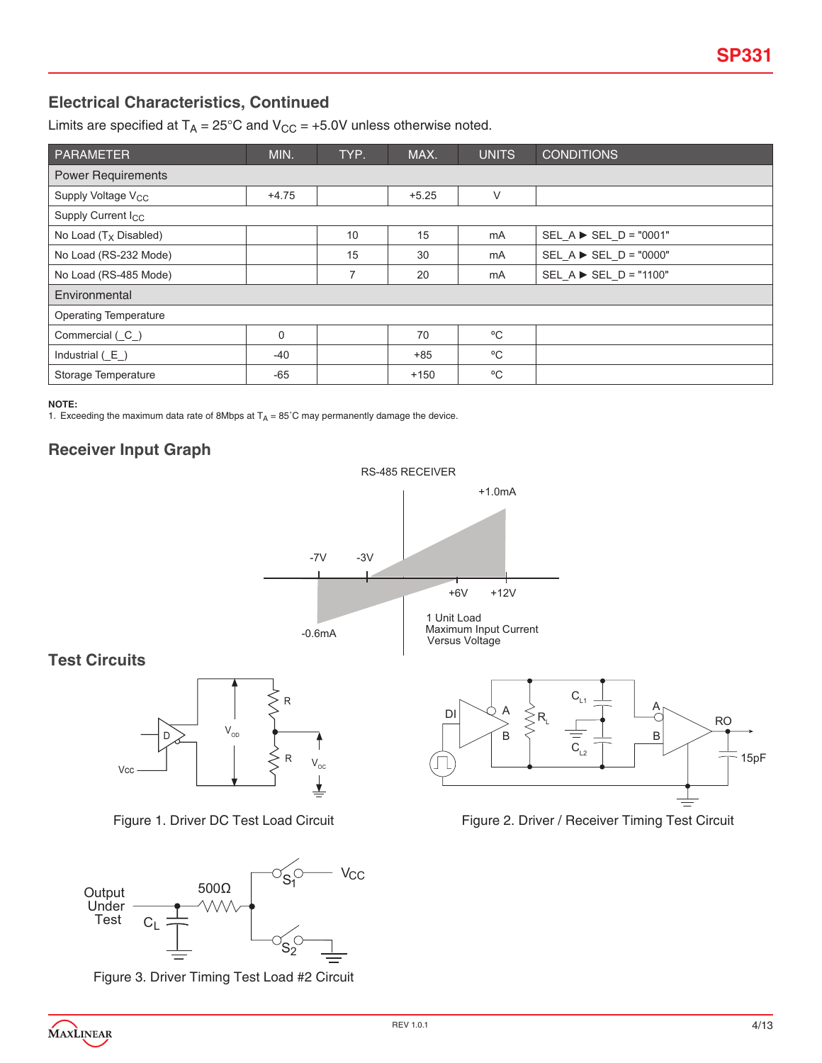# **Electrical Characteristics, Continued**

Limits are specified at  $T_A = 25^{\circ}$ C and  $V_{CC} = +5.0V$  unless otherwise noted.

| PARAMETER                      | MIN.        | TYP. | MAX.    | <b>UNITS</b> | <b>CONDITIONS</b>                       |  |  |
|--------------------------------|-------------|------|---------|--------------|-----------------------------------------|--|--|
| <b>Power Requirements</b>      |             |      |         |              |                                         |  |  |
| Supply Voltage V <sub>CC</sub> | $+4.75$     |      | $+5.25$ | $\vee$       |                                         |  |  |
| Supply Current I <sub>CC</sub> |             |      |         |              |                                         |  |  |
| No Load $(T_X$ Disabled)       |             | 10   | 15      | mA           | SEL $A \triangleright$ SEL $D = "0001"$ |  |  |
| No Load (RS-232 Mode)          |             | 15   | 30      | mA           | SEL $A \triangleright$ SEL $D = "0000"$ |  |  |
| No Load (RS-485 Mode)          |             | 7    | 20      | mA           | SEL A ► SEL_D = "1100"                  |  |  |
| Environmental                  |             |      |         |              |                                         |  |  |
| <b>Operating Temperature</b>   |             |      |         |              |                                         |  |  |
| Commercial (C)                 | $\mathbf 0$ |      | 70      | °C           |                                         |  |  |
| Industrial $(E)$               | $-40$       |      | $+85$   | °C           |                                         |  |  |
| Storage Temperature            | $-65$       |      | $+150$  | °C           |                                         |  |  |

**NOTE:**

1. Exceeding the maximum data rate of 8Mbps at  $T_A = 85^\circ \text{C}$  may permanently damage the device.

## **Receiver Input Graph**



Figure 2. Driver / Receiver Timing Test Circuit

Figure 1. Driver DC Test Load Circuit



Figure 3. Driver Timing Test Load #2 Circuit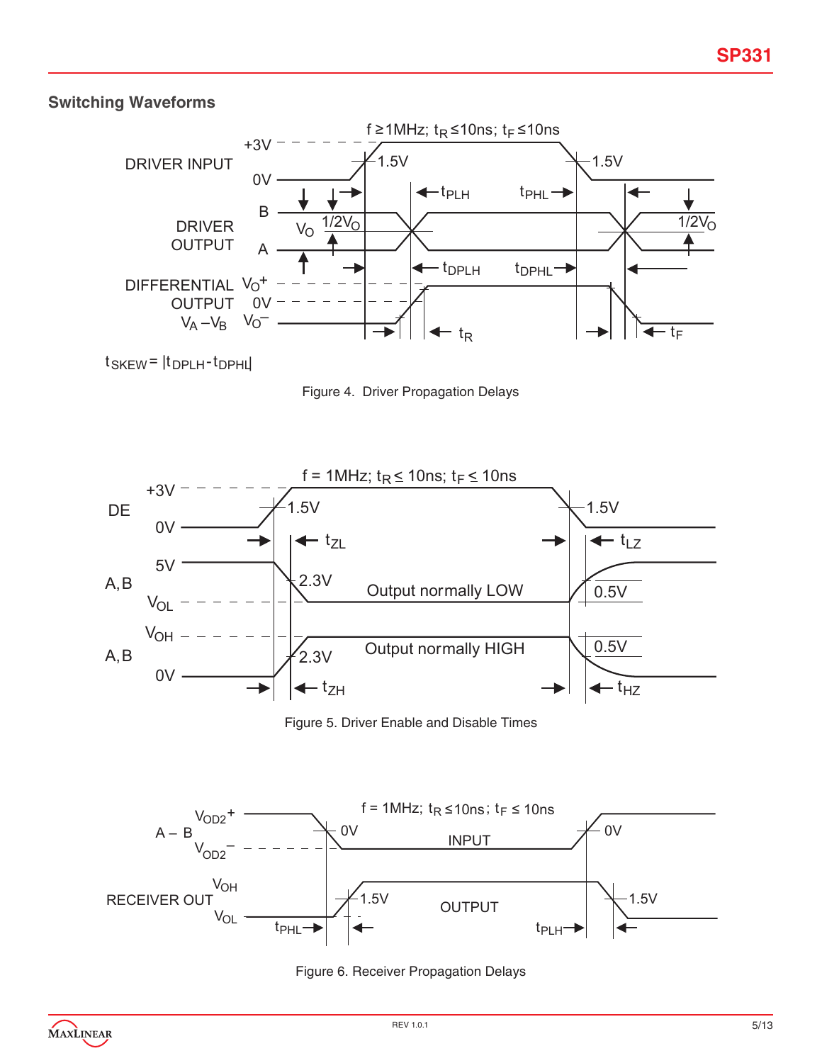# **Switching Waveforms**



 $t$ SKEW =  $|t$ DPLH -  $t$ DPHL

Figure 4. Driver Propagation Delays



Figure 5. Driver Enable and Disable Times



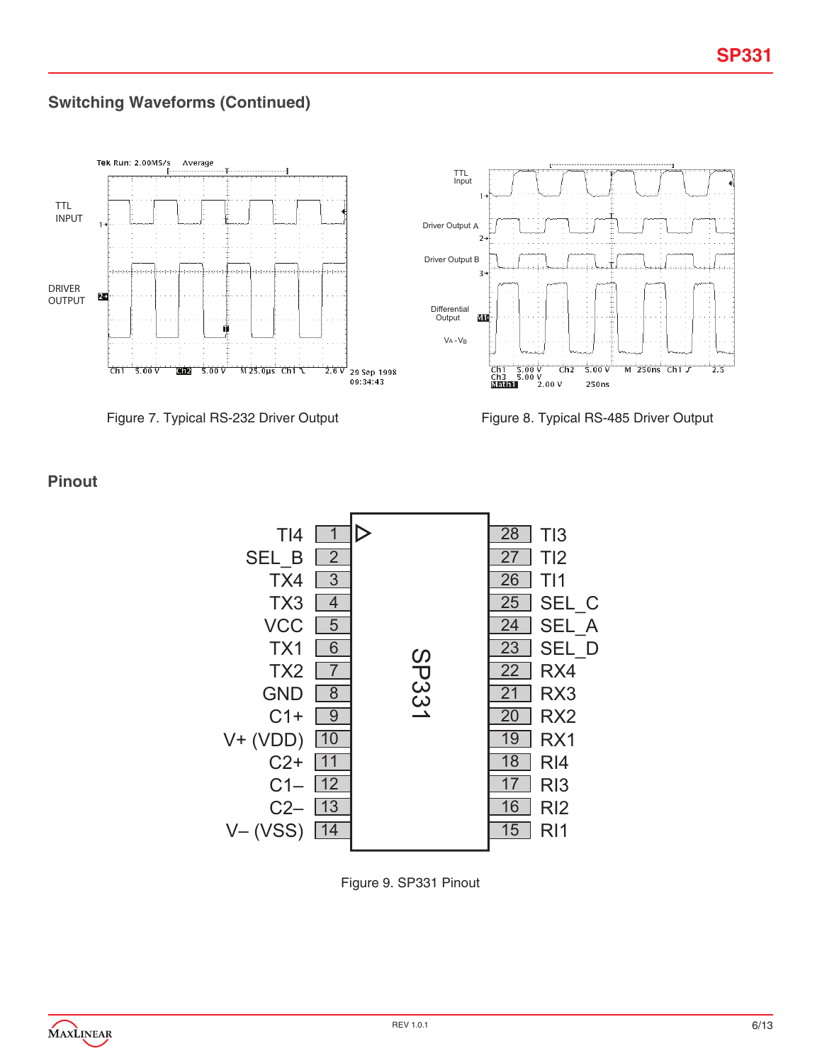# **Switching Waveforms (Continued)**



Figure 7. Typical RS-232 Driver Output Figure 8. Typical RS-485 Driver Output

## **Pinout**



Figure 9. SP331 Pinout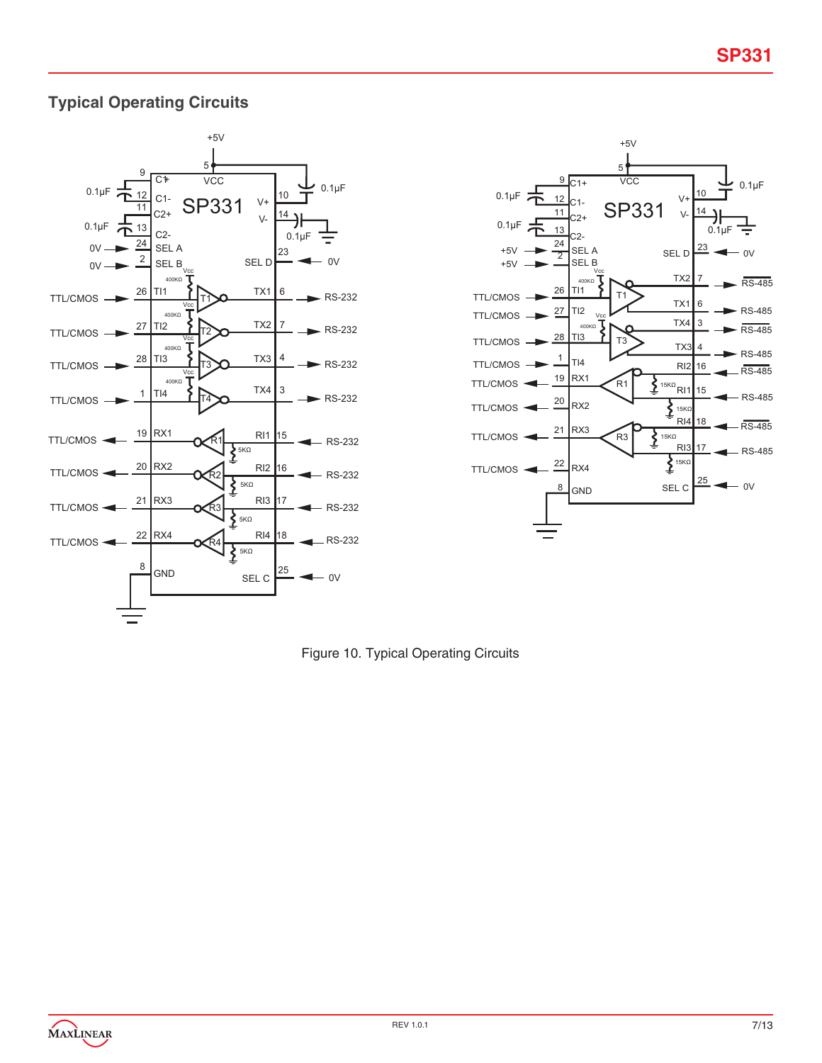# **Typical Operating Circuits**





Figure 10. Typical Operating Circuits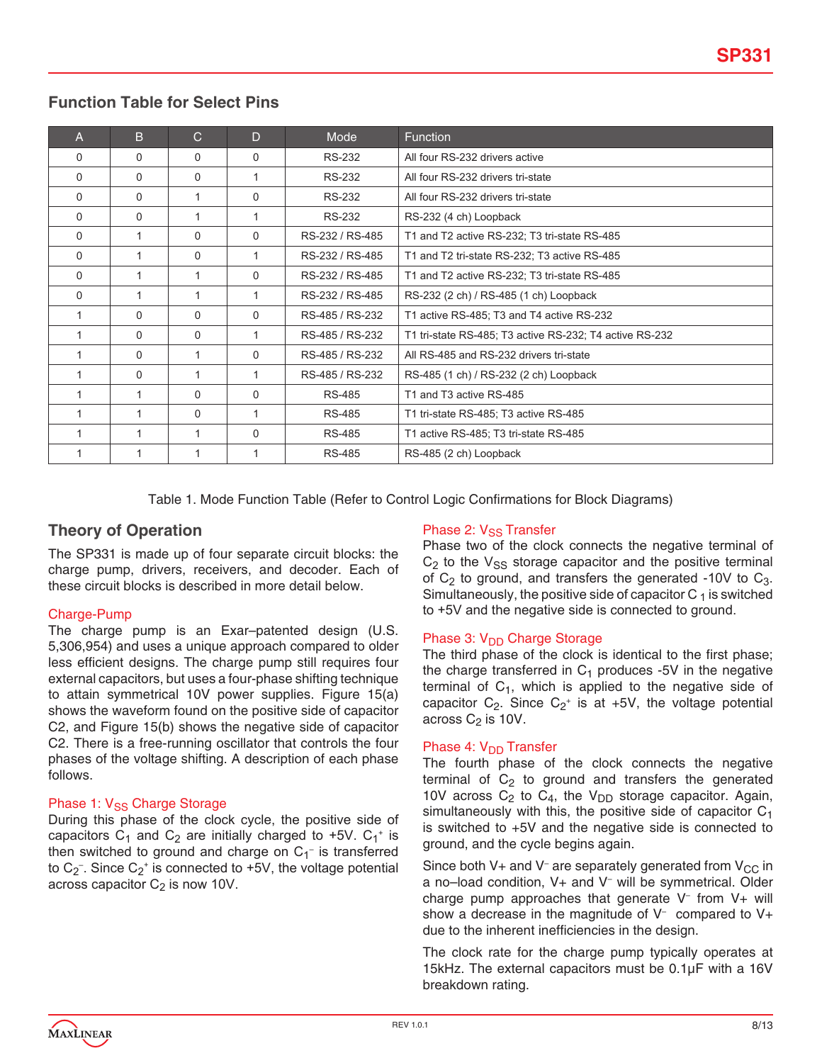## **Function Table for Select Pins**

| $\overline{A}$ | B        | $\mathsf{C}$ | D           | <b>Mode</b>     | <b>Function</b>                                         |
|----------------|----------|--------------|-------------|-----------------|---------------------------------------------------------|
| $\Omega$       | $\Omega$ | $\Omega$     | $\Omega$    | <b>RS-232</b>   | All four RS-232 drivers active                          |
| $\Omega$       | $\Omega$ | $\Omega$     |             | <b>RS-232</b>   | All four RS-232 drivers tri-state                       |
| 0              | $\Omega$ |              | $\Omega$    | <b>RS-232</b>   | All four RS-232 drivers tri-state                       |
| $\Omega$       | $\Omega$ |              |             | <b>RS-232</b>   | RS-232 (4 ch) Loopback                                  |
| $\Omega$       |          | $\Omega$     | 0           | RS-232 / RS-485 | T1 and T2 active RS-232; T3 tri-state RS-485            |
| $\Omega$       |          | $\Omega$     |             | RS-232 / RS-485 | T1 and T2 tri-state RS-232; T3 active RS-485            |
| $\Omega$       |          |              | $\Omega$    | RS-232 / RS-485 | T1 and T2 active RS-232; T3 tri-state RS-485            |
| 0              |          |              |             | RS-232 / RS-485 | RS-232 (2 ch) / RS-485 (1 ch) Loopback                  |
|                | $\Omega$ | $\Omega$     | $\Omega$    | RS-485 / RS-232 | T1 active RS-485; T3 and T4 active RS-232               |
| 1              | $\Omega$ | $\Omega$     |             | RS-485 / RS-232 | T1 tri-state RS-485; T3 active RS-232; T4 active RS-232 |
|                | $\Omega$ | 1            | $\Omega$    | RS-485 / RS-232 | All RS-485 and RS-232 drivers tri-state                 |
|                | $\Omega$ |              |             | RS-485 / RS-232 | RS-485 (1 ch) / RS-232 (2 ch) Loopback                  |
|                |          | $\Omega$     | $\mathbf 0$ | RS-485          | T1 and T3 active RS-485                                 |
|                |          | $\Omega$     |             | <b>RS-485</b>   | T1 tri-state RS-485; T3 active RS-485                   |
|                |          |              | $\Omega$    | RS-485          | T1 active RS-485; T3 tri-state RS-485                   |
|                | 1        | 1            | 1           | <b>RS-485</b>   | RS-485 (2 ch) Loopback                                  |

Table 1. Mode Function Table (Refer to Control Logic Confirmations for Block Diagrams)

## **Theory of Operation**

The SP331 is made up of four separate circuit blocks: the charge pump, drivers, receivers, and decoder. Each of these circuit blocks is described in more detail below.

### Charge-Pump

The charge pump is an Exar–patented design (U.S. 5,306,954) and uses a unique approach compared to older less efficient designs. The charge pump still requires four external capacitors, but uses a four-phase shifting technique to attain symmetrical 10V power supplies. Figure 15(a) shows the waveform found on the positive side of capacitor C2, and Figure 15(b) shows the negative side of capacitor C2. There is a free-running oscillator that controls the four phases of the voltage shifting. A description of each phase follows.

## Phase 1: V<sub>SS</sub> Charge Storage

During this phase of the clock cycle, the positive side of capacitors  $C_1$  and  $C_2$  are initially charged to +5V.  $C_1$ <sup>+</sup> is then switched to ground and charge on  $C_1^-$  is transferred to C<sub>2</sub><sup>-</sup>. Since C<sub>2</sub><sup>+</sup> is connected to +5V, the voltage potential across capacitor  $C_2$  is now 10V.

### Phase 2: V<sub>SS</sub> Transfer

Phase two of the clock connects the negative terminal of  $C_2$  to the  $V_{SS}$  storage capacitor and the positive terminal of  $C_2$  to ground, and transfers the generated -10V to  $C_3$ . Simultaneously, the positive side of capacitor  $C_1$  is switched to +5V and the negative side is connected to ground.

## Phase 3: V<sub>DD</sub> Charge Storage

The third phase of the clock is identical to the first phase; the charge transferred in  $C_1$  produces -5V in the negative terminal of  $C_1$ , which is applied to the negative side of capacitor  $C_2$ . Since  $C_2$ <sup>+</sup> is at +5V, the voltage potential across  $C_2$  is 10V.

### Phase 4:  $V_{DD}$  Transfer

The fourth phase of the clock connects the negative terminal of  $C_2$  to ground and transfers the generated 10V across  $C_2$  to  $C_4$ , the V<sub>DD</sub> storage capacitor. Again, simultaneously with this, the positive side of capacitor  $C_1$ is switched to +5V and the negative side is connected to ground, and the cycle begins again.

Since both V+ and V<sup>-</sup> are separately generated from V<sub>CC</sub> in a no–load condition, V+ and V– will be symmetrical. Older charge pump approaches that generate V– from V+ will show a decrease in the magnitude of  $V^-$  compared to  $V^+$ due to the inherent inefficiencies in the design.

The clock rate for the charge pump typically operates at 15kHz. The external capacitors must be 0.1µF with a 16V breakdown rating.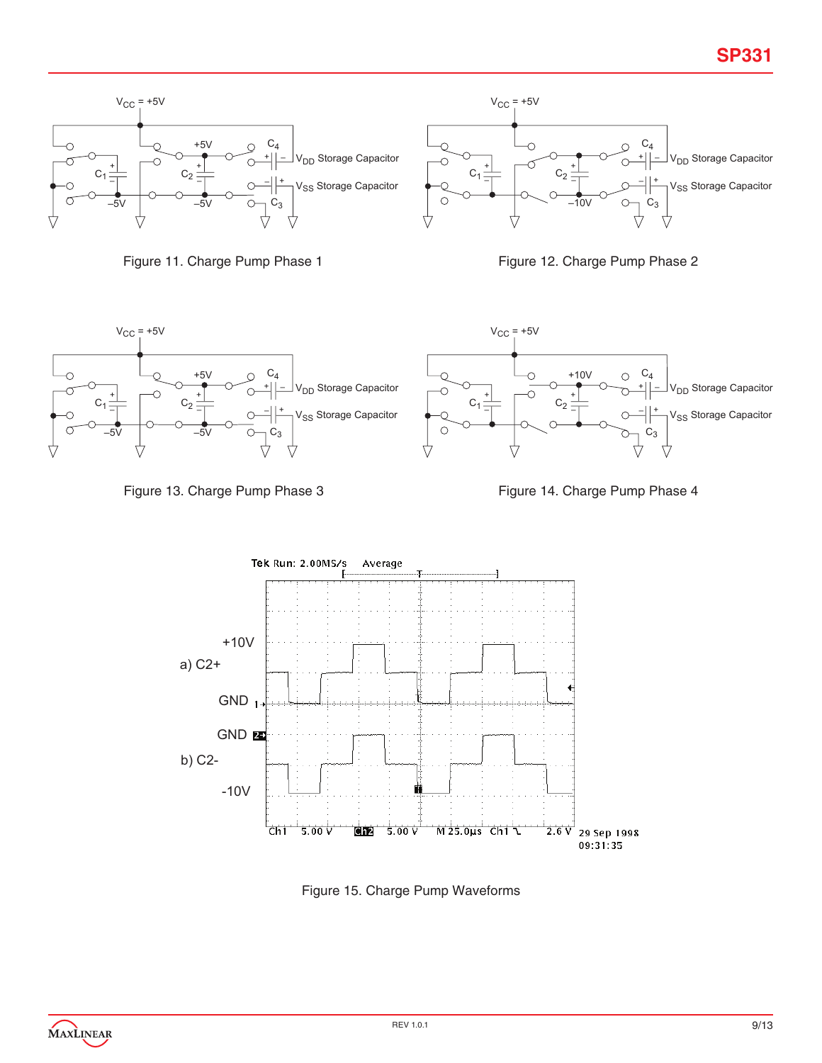





Figure 13. Charge Pump Phase 3 Figure 14. Charge Pump Phase 4



Figure 15. Charge Pump Waveforms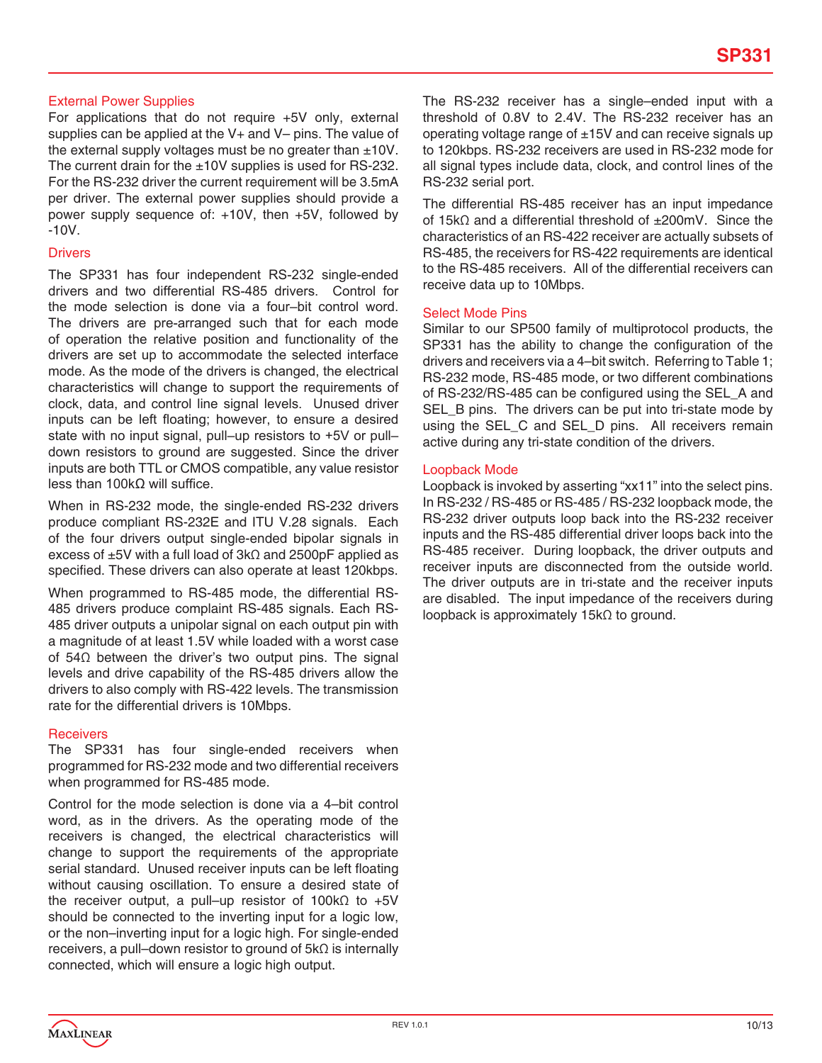### External Power Supplies

For applications that do not require +5V only, external supplies can be applied at the V+ and V– pins. The value of the external supply voltages must be no greater than  $\pm 10V$ . The current drain for the  $\pm 10V$  supplies is used for RS-232. For the RS-232 driver the current requirement will be 3.5mA per driver. The external power supplies should provide a power supply sequence of: +10V, then +5V, followed by -10V.

#### **Drivers**

The SP331 has four independent RS-232 single-ended drivers and two differential RS-485 drivers. Control for the mode selection is done via a four–bit control word. The drivers are pre-arranged such that for each mode of operation the relative position and functionality of the drivers are set up to accommodate the selected interface mode. As the mode of the drivers is changed, the electrical characteristics will change to support the requirements of clock, data, and control line signal levels. Unused driver inputs can be left floating; however, to ensure a desired state with no input signal, pull–up resistors to +5V or pull– down resistors to ground are suggested. Since the driver inputs are both TTL or CMOS compatible, any value resistor less than 100kΩ will suffice.

When in RS-232 mode, the single-ended RS-232 drivers produce compliant RS-232E and ITU V.28 signals. Each of the four drivers output single-ended bipolar signals in excess of ±5V with a full load of 3kΩ and 2500pF applied as specified. These drivers can also operate at least 120kbps.

When programmed to RS-485 mode, the differential RS-485 drivers produce complaint RS-485 signals. Each RS-485 driver outputs a unipolar signal on each output pin with a magnitude of at least 1.5V while loaded with a worst case of 54Ω between the driver's two output pins. The signal levels and drive capability of the RS-485 drivers allow the drivers to also comply with RS-422 levels. The transmission rate for the differential drivers is 10Mbps.

#### **Receivers**

The SP331 has four single-ended receivers when programmed for RS-232 mode and two differential receivers when programmed for RS-485 mode.

Control for the mode selection is done via a 4–bit control word, as in the drivers. As the operating mode of the receivers is changed, the electrical characteristics will change to support the requirements of the appropriate serial standard. Unused receiver inputs can be left floating without causing oscillation. To ensure a desired state of the receiver output, a pull–up resistor of 100kΩ to +5V should be connected to the inverting input for a logic low, or the non–inverting input for a logic high. For single-ended receivers, a pull–down resistor to ground of 5kΩ is internally connected, which will ensure a logic high output.

The RS-232 receiver has a single–ended input with a threshold of 0.8V to 2.4V. The RS-232 receiver has an operating voltage range of  $\pm$ 15V and can receive signals up to 120kbps. RS-232 receivers are used in RS-232 mode for all signal types include data, clock, and control lines of the RS-232 serial port.

The differential RS-485 receiver has an input impedance of 15kΩ and a differential threshold of ±200mV. Since the characteristics of an RS-422 receiver are actually subsets of RS-485, the receivers for RS-422 requirements are identical to the RS-485 receivers. All of the differential receivers can receive data up to 10Mbps.

### Select Mode Pins

Similar to our SP500 family of multiprotocol products, the SP331 has the ability to change the configuration of the drivers and receivers via a 4–bit switch. Referring to Table 1; RS-232 mode, RS-485 mode, or two different combinations of RS-232/RS-485 can be configured using the SEL\_A and SEL\_B pins. The drivers can be put into tri-state mode by using the SEL\_C and SEL\_D pins. All receivers remain active during any tri-state condition of the drivers.

#### Loopback Mode

Loopback is invoked by asserting "xx11" into the select pins. In RS-232 / RS-485 or RS-485 / RS-232 loopback mode, the RS-232 driver outputs loop back into the RS-232 receiver inputs and the RS-485 differential driver loops back into the RS-485 receiver. During loopback, the driver outputs and receiver inputs are disconnected from the outside world. The driver outputs are in tri-state and the receiver inputs are disabled. The input impedance of the receivers during loopback is approximately 15kΩ to ground.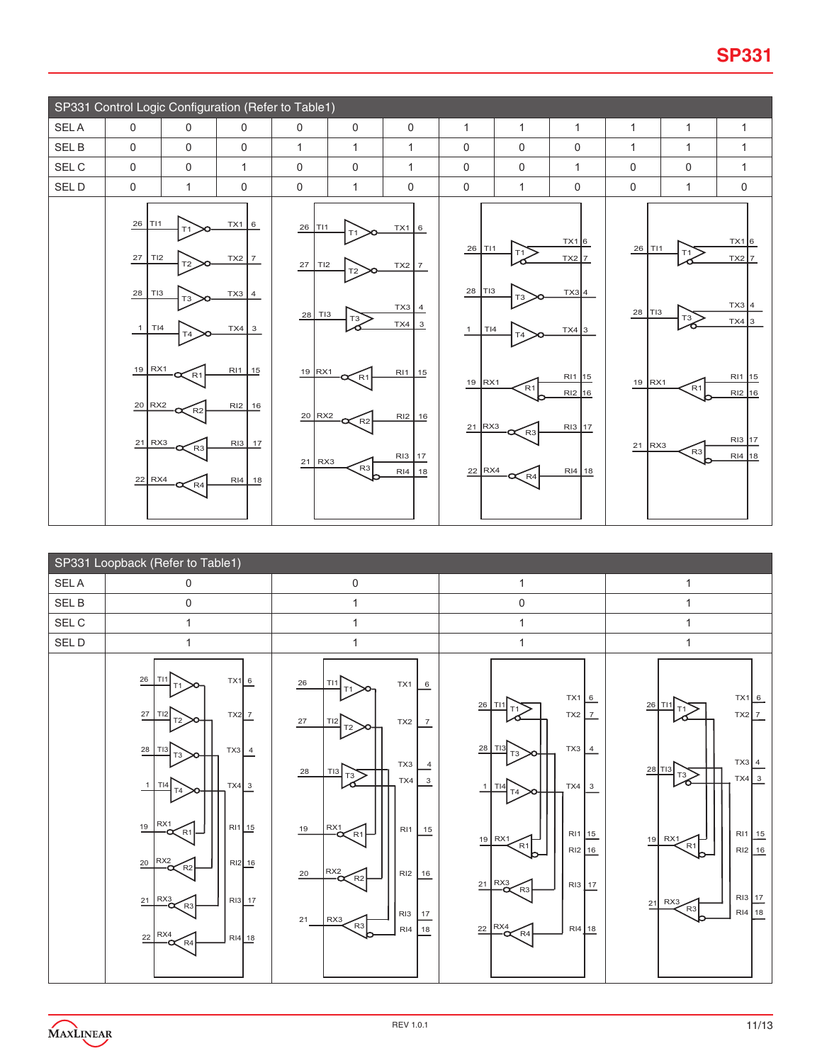|             |                                                                                                          | SP331 Control Logic Configuration (Refer to Table1)              |                                                                                                          |                                                                |                                                                   |                                                                                |                                                                                             |                                                                                            |                                                                               |                                                |                                                       |                                                                               |
|-------------|----------------------------------------------------------------------------------------------------------|------------------------------------------------------------------|----------------------------------------------------------------------------------------------------------|----------------------------------------------------------------|-------------------------------------------------------------------|--------------------------------------------------------------------------------|---------------------------------------------------------------------------------------------|--------------------------------------------------------------------------------------------|-------------------------------------------------------------------------------|------------------------------------------------|-------------------------------------------------------|-------------------------------------------------------------------------------|
| <b>SELA</b> | $\mathsf{O}$                                                                                             | $\mathbf 0$                                                      | $\mathbf 0$                                                                                              | 0                                                              | $\mathbf 0$                                                       | $\mathbf 0$                                                                    | $\mathbf{1}$                                                                                | $\mathbf{1}$                                                                               | $\mathbf{1}$                                                                  | $\mathbf{1}$                                   | $\mathbf{1}$                                          | $\mathbf{1}$                                                                  |
| SEL B       | $\mathbf 0$                                                                                              | $\mathbf 0$                                                      | 0                                                                                                        | $\mathbf{1}$                                                   | $\mathbf 1$                                                       | $\mathbf{1}$                                                                   | $\mathbf 0$                                                                                 | $\mathbf 0$                                                                                | $\mathbf 0$                                                                   | $\mathbf{1}$                                   | $\mathbf{1}$                                          | $\mathbf{1}$                                                                  |
| SEL C       | $\mathbf 0$                                                                                              | $\mathbf 0$                                                      | $\mathbf{1}$                                                                                             | $\mathbf 0$                                                    | $\mathbf 0$                                                       | $\mathbf{1}$                                                                   | $\mathbf 0$                                                                                 | $\mathbf 0$                                                                                | $\mathbf{1}$                                                                  | $\mathbf 0$                                    | 0                                                     | $\mathbf{1}$                                                                  |
| SEL D       | $\Omega$                                                                                                 | $\mathbf{1}$                                                     | 0                                                                                                        | 0                                                              | 1                                                                 | $\mathbf 0$                                                                    | $\mathbf 0$                                                                                 | 1                                                                                          | $\mathbf 0$                                                                   | $\mathbf 0$                                    | 1                                                     | $\mathbf 0$                                                                   |
|             | 26<br>TI1<br>$27\,$<br>TI2<br>28<br>TI3<br>TI4<br>$\mathbf{1}$<br>19 RX1<br>20 RX2<br>$21$ RX3<br>22 RX4 | T2<br>T <sub>3</sub><br>T <sub>4</sub><br>R1<br>$R2$<br>R3<br>R4 | TX1 6<br>$TX2$ 7<br>$TX3$ 4<br>$TX4 \overline{\smash{\big)}\ 3}$<br>RI1 15<br>RI2 16<br>RI3 17<br>RI4 18 | 26<br>TI1<br>27<br>TI2<br>28 TI3<br>19 RX1<br>20 RX2<br>21 RX3 | T <sub>2</sub><br>T3<br>$\propto$ R1<br>$\zeta$ R2<br>$\left[$ R3 | TX1 6<br>$TX2$ 7<br>$TX3$ 4<br>$TX4$ 3<br>RI1 15<br>RI2 16<br>RI3 17<br>RI4 18 | 26<br>l TI1<br>28<br>TI3<br>$\mathbf{1}$<br>T <sub>14</sub><br>$19$ RX1<br>21 RX3<br>22 RX4 | T <sub>1</sub><br>T <sub>3</sub><br>T <sub>4</sub><br>R1<br>R <sub>3</sub><br>$\propto$ R4 | TX16<br>$TX2$ 7<br>$TX3$ 4<br>$TX4$ 3<br>RI1 15<br>RI2 16<br>RI3 17<br>RI4 18 | $26$ TI1<br>28<br> T <br>$19$ RX1<br>21<br>Rx3 | T <sub>1</sub><br>T <sub>3</sub><br>R1<br>$\left[$ R3 | TX16<br>$TX2$ 7<br>$TX3$ 4<br>$TX4$ 3<br>RI1 15<br>RI2 16<br>RI3 17<br>RI4 18 |
|             |                                                                                                          |                                                                  |                                                                                                          |                                                                |                                                                   |                                                                                |                                                                                             |                                                                                            |                                                                               |                                                |                                                       |                                                                               |

|                   | SP331 Loopback (Refer to Table1)                                                                                                                                                                                                                                                                                                         |                                                                                                                                                                                                                                                                                                                                                               |                                                                                                                                                                                                                                                                                         |                                                                                                                                                                               |
|-------------------|------------------------------------------------------------------------------------------------------------------------------------------------------------------------------------------------------------------------------------------------------------------------------------------------------------------------------------------|---------------------------------------------------------------------------------------------------------------------------------------------------------------------------------------------------------------------------------------------------------------------------------------------------------------------------------------------------------------|-----------------------------------------------------------------------------------------------------------------------------------------------------------------------------------------------------------------------------------------------------------------------------------------|-------------------------------------------------------------------------------------------------------------------------------------------------------------------------------|
| SEL A             | $\mathsf{O}\xspace$                                                                                                                                                                                                                                                                                                                      | 0                                                                                                                                                                                                                                                                                                                                                             | 1                                                                                                                                                                                                                                                                                       | 1                                                                                                                                                                             |
| SEL B             | $\pmb{0}$                                                                                                                                                                                                                                                                                                                                | 1                                                                                                                                                                                                                                                                                                                                                             | $\mathsf 0$                                                                                                                                                                                                                                                                             | $\mathbf{1}$                                                                                                                                                                  |
| $\sf SEL$ $\sf C$ | $\mathbf{1}$                                                                                                                                                                                                                                                                                                                             | $\mathbf{1}$                                                                                                                                                                                                                                                                                                                                                  | 1                                                                                                                                                                                                                                                                                       | $\mathbf{1}$                                                                                                                                                                  |
| SEL D             | $\mathbf{1}$                                                                                                                                                                                                                                                                                                                             | 1                                                                                                                                                                                                                                                                                                                                                             | 1                                                                                                                                                                                                                                                                                       | 1                                                                                                                                                                             |
|                   | $\overline{26}$<br>TX16<br>  TI1<br>27<br>TI <sub>2</sub><br>$TX2$ $7$<br>T <sub>2</sub><br>$\frac{28}{1}$<br>$TX3$ 4<br> T13<br>T <sub>3</sub><br>$T\times 4$ 3<br>TI4<br>T4<br>RX1<br>19<br>RI11.15<br>$\epsilon$ R1<br>RX <sub>2</sub><br>$20\,$<br>RI2 16<br>R2<br>$21$ RX3<br>RI3 17<br>R3<br>RX4<br>$RI4$ 18<br>22<br>$\propto$ R4 | ${\bf 26}$<br>T11<br>TX1<br>6<br>T1<br>$27\,$<br>TX <sub>2</sub><br>TI2<br>$\overline{7}$<br>T2<br>TX3<br>4<br>28<br>TI <sub>3</sub><br>$T_3$<br>TX4<br>$\overline{3}$<br>$I_{\text{max}}^{\text{RX1}}$<br>19<br>RI1<br>15<br>$R^{X2}_{\alpha}$<br>$20\,$<br>RI <sub>2</sub><br>16<br>R2<br>RI <sub>3</sub><br>17<br>21<br>RX3<br>R3<br>$\frac{18}{1}$<br>RI4 | TX1 6<br>26<br>T11<br>T1<br>$TX2$ 7<br>28<br>TI3<br>$TX3$ $4$<br>T <sub>3</sub><br>T <sub>14</sub><br>$TX4 \mid 3$<br>1<br>T4<br>RI1 15<br>$19$ RX1<br>$F_{R1}$<br>RI2 16<br>$R^{X3}_{\alpha}$<br>RI3 17<br>21<br>$\left[$ R <sub>3</sub><br>RX4<br>$\frac{22}{2}$<br>RI4 18<br>R4<br>∼ | TX16<br>$26$ T <sub>11</sub><br>T <sub>1</sub><br>$TX2$ 7<br>$TX3$ 4<br>28 TI3<br>ਾ≳<br>$TX4$ 3<br>RI1 15<br>RX1<br>19<br>R1<br>RI2 16<br>RI3 17<br>RX3<br>21<br>R3<br>RI4 18 |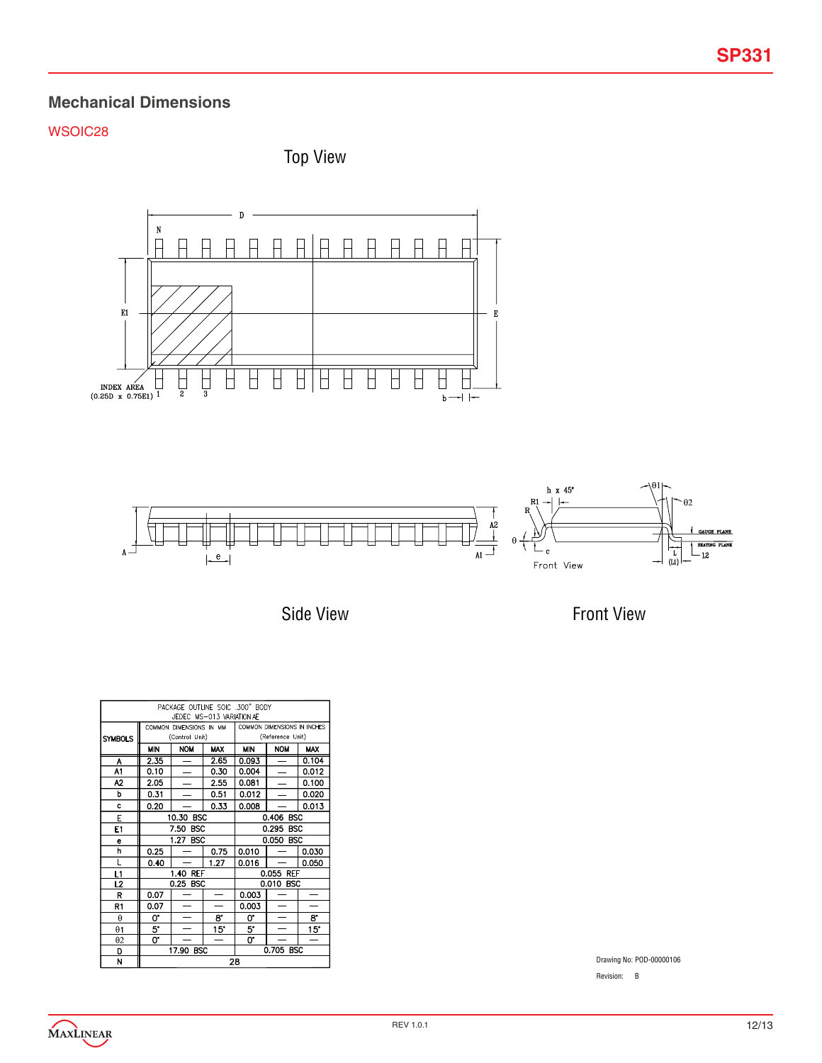# **Mechanical Dimensions**

## WSOIC28

Top View



Side View

Front View

| PACKAGE OUTLINE SOIC .300" BODY<br>JEDEC MS-013 VARIATION AE |      |                          |                          |                             |                          |              |
|--------------------------------------------------------------|------|--------------------------|--------------------------|-----------------------------|--------------------------|--------------|
|                                                              |      | COMMON DIMENSIONS IN MM  |                          | COMMON DIMENSIONS IN INCHES |                          |              |
| <b>SYMBOLS</b>                                               |      | (Control Unit)           |                          |                             | (Reference Unit)         |              |
|                                                              | MIN  | <b>NOM</b>               | <b>MAX</b>               | MIN                         | <b>NOM</b>               | <b>MAX</b>   |
| A                                                            | 2.35 | -                        | 2.65                     | 0.093                       | -                        | 0.104        |
| A1                                                           | 0.10 |                          | 0.30                     | 0.004                       |                          | 0.012        |
| Α2                                                           | 2.05 | $\overline{\phantom{0}}$ | 2.55                     | 0.081                       |                          | 0.100        |
| p                                                            | 0.31 |                          | 0.51                     | 0.012                       |                          | 0.020        |
| c                                                            | 0.20 |                          | 0.33                     | 0.008                       |                          | 0.013        |
| E                                                            |      | 10.30 BSC                |                          | 0.406 BSC                   |                          |              |
| E1                                                           |      | 7.50<br><b>BSC</b>       |                          | 0.295 BSC                   |                          |              |
| e                                                            |      | 1.27 BSC                 |                          | 0.050 BSC                   |                          |              |
| h                                                            | 0.25 |                          | 0.75                     | 0.010                       |                          | 0.030        |
| L                                                            | 0.40 |                          | 1.27                     | 0.016                       |                          | 0.050        |
| L1                                                           |      | 1.40 REF                 |                          |                             | 0.055 REF                |              |
| L2                                                           |      | 0.25 BSC                 |                          |                             | 0.010 BSC                |              |
| R                                                            | 0.07 |                          | $\overline{\phantom{0}}$ | 0.003                       |                          |              |
| R1                                                           | 0.07 |                          |                          | 0.003                       |                          |              |
| $\theta$                                                     | 0.   | $\overline{\phantom{0}}$ | 8.                       | 0.                          | $\overline{\phantom{0}}$ | 8.           |
| $\theta$ 1                                                   | 5.   |                          | 15"                      | 5.                          |                          | $15^{\circ}$ |
| θ2                                                           | 0.   |                          |                          | 0.                          |                          |              |
| D                                                            |      | 17.90 BSC                |                          |                             | 0.705 BSC                |              |
| N                                                            |      | 28                       |                          |                             |                          |              |

Drawing No: POD-00000106

Revision: B